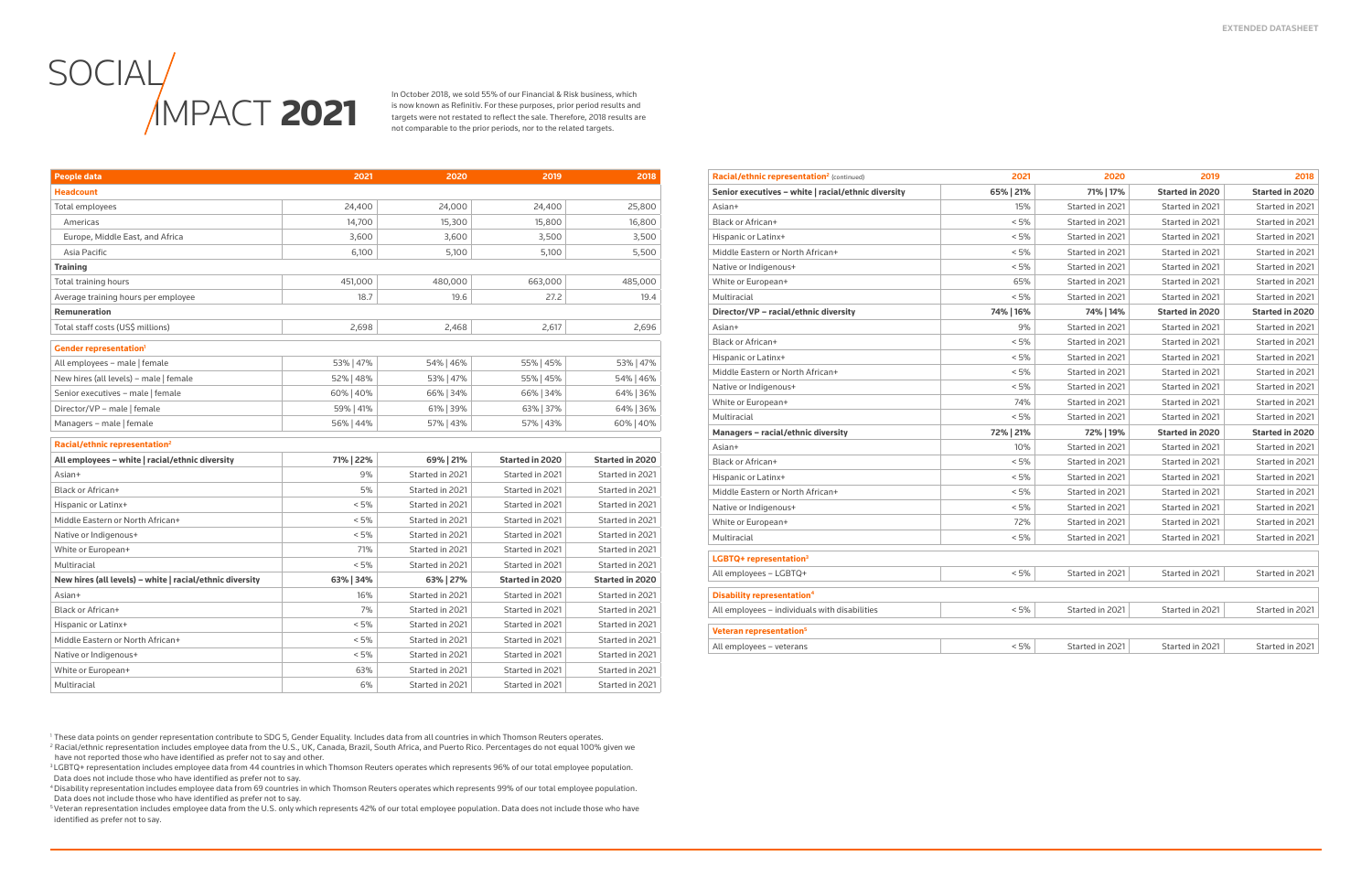# **SOCIAL IMPACT 2021**

In October 2018, we sold 55% of our Financial & Risk business, which is now known as Refinitiv. For these purposes, prior period results and targets were not restated to reflect the sale. Therefore, 2018 results are not comparable to the prior periods, nor to the related targets.

| <b>People data</b>                                       | 2021      | 2020            | 2019                   | 2018                   |
|----------------------------------------------------------|-----------|-----------------|------------------------|------------------------|
| <b>Headcount</b>                                         |           |                 |                        |                        |
| Total employees                                          | 24,400    | 24,000          | 24,400                 | 25,800                 |
| Americas                                                 | 14,700    | 15,300          | 15,800                 | 16,800                 |
| Europe, Middle East, and Africa                          | 3,600     | 3,600           | 3,500                  | 3,500                  |
| Asia Pacific                                             | 6,100     | 5,100           | 5,100                  | 5,500                  |
| <b>Training</b>                                          |           |                 |                        |                        |
| <b>Total training hours</b>                              | 451,000   | 480,000         | 663,000                | 485,000                |
| Average training hours per employee                      | 18.7      | 19.6            | 27.2                   | 19.4                   |
| <b>Remuneration</b>                                      |           |                 |                        |                        |
| Total staff costs (US\$ millions)                        | 2,698     | 2,468           | 2,617                  | 2,696                  |
| <b>Gender representation'</b>                            |           |                 |                        |                        |
| All employees - male   female                            | 53% 47%   | 54% 46%         | 55% 45%                | 53% 47%                |
| New hires (all levels) - male   female                   | 52%   48% | 53%   47%       | 55%   45%              | 54% 46%                |
| Senior executives - male   female                        | 60%   40% | 66% 34%         | 66% 34%                | 64% 36%                |
| Director/VP - male   female                              | 59%   41% | 61% 39%         | 63% 37%                | 64% 36%                |
| Managers - male   female                                 | 56%   44% | 57%   43%       | 57%   43%              | 60%   40%              |
| Racial/ethnic representation <sup>2</sup>                |           |                 |                        |                        |
| All employees - white   racial/ethnic diversity          | 71%   22% | 69% 21%         | <b>Started in 2020</b> | <b>Started in 2020</b> |
| Asian+                                                   | 9%        | Started in 2021 | Started in 2021        | Started in 2021        |
| <b>Black or African+</b>                                 | 5%        | Started in 2021 | Started in 2021        | Started in 2021        |
| Hispanic or Latinx+                                      | < 5%      | Started in 2021 | Started in 2021        | Started in 2021        |
| Middle Eastern or North African+                         | < 5%      | Started in 2021 | Started in 2021        | Started in 2021        |
| Native or Indigenous+                                    | < 5%      | Started in 2021 | Started in 2021        | Started in 2021        |
| White or European+                                       | 71%       | Started in 2021 | Started in 2021        | Started in 2021        |
| Multiracial                                              | < 5%      | Started in 2021 | Started in 2021        | Started in 2021        |
| New hires (all levels) – white   racial/ethnic diversity | 63% 34%   | 63% 27%         | <b>Started in 2020</b> | <b>Started in 2020</b> |
| Asian+                                                   | 16%       | Started in 2021 | Started in 2021        | Started in 2021        |
| Black or African+                                        | 7%        | Started in 2021 | Started in 2021        | Started in 2021        |
| Hispanic or Latinx+                                      | < 5%      | Started in 2021 | Started in 2021        | Started in 2021        |
| Middle Eastern or North African+                         | < 5%      | Started in 2021 | Started in 2021        | Started in 2021        |
| Native or Indigenous+                                    | < 5%      | Started in 2021 | Started in 2021        | Started in 2021        |
| White or European+                                       | 63%       | Started in 2021 | Started in 2021        | Started in 2021        |
| Multiracial                                              | 6%        | Started in 2021 | Started in 2021        | Started in 2021        |

<sup>2</sup> Racial/ethnic representation includes employee data from the U.S., UK, Canada, Brazil, South Africa, and Puerto Rico. Percentages do not equal 100% given we have not reported those who have identified as prefer not to say and other.

<sup>3</sup>LGBTQ+ representation includes employee data from 44 countries in which Thomson Reuters operates which represents 96% of our total employee population. Data does not include those who have identified as prefer not to say.

| <b>Racial/ethnic representation<sup>2</sup> (continued)</b> | 2021      | 2020            | 2019                   | 2018                   |
|-------------------------------------------------------------|-----------|-----------------|------------------------|------------------------|
| Senior executives - white   racial/ethnic diversity         | 65%   21% | 71%   17%       | <b>Started in 2020</b> | <b>Started in 2020</b> |
| Asian+                                                      | 15%       | Started in 2021 | Started in 2021        | Started in 2021        |
| <b>Black or African+</b>                                    | < 5%      | Started in 2021 | Started in 2021        | Started in 2021        |
| Hispanic or Latinx+                                         | < 5%      | Started in 2021 | Started in 2021        | Started in 2021        |
| Middle Eastern or North African+                            | < 5%      | Started in 2021 | Started in 2021        | Started in 2021        |
| Native or Indigenous+                                       | < 5%      | Started in 2021 | Started in 2021        | Started in 2021        |
| White or European+                                          | 65%       | Started in 2021 | Started in 2021        | Started in 2021        |
| Multiracial                                                 | < 5%      | Started in 2021 | Started in 2021        | Started in 2021        |
| Director/VP - racial/ethnic diversity                       | 74%   16% | 74%   14%       | <b>Started in 2020</b> | <b>Started in 2020</b> |
| Asian+                                                      | 9%        | Started in 2021 | Started in 2021        | Started in 2021        |
| <b>Black or African+</b>                                    | < 5%      | Started in 2021 | Started in 2021        | Started in 2021        |
| Hispanic or Latinx+                                         | < 5%      | Started in 2021 | Started in 2021        | Started in 2021        |
| Middle Eastern or North African+                            | < 5%      | Started in 2021 | Started in 2021        | Started in 2021        |
| Native or Indigenous+                                       | < 5%      | Started in 2021 | Started in 2021        | Started in 2021        |
| White or European+                                          | 74%       | Started in 2021 | Started in 2021        | Started in 2021        |
| Multiracial                                                 | < 5%      | Started in 2021 | Started in 2021        | Started in 2021        |
| Managers - racial/ethnic diversity                          | 72%   21% | 72%   19%       | <b>Started in 2020</b> | <b>Started in 2020</b> |
| Asian+                                                      | 10%       | Started in 2021 | Started in 2021        | Started in 2021        |
| Black or African+                                           | < 5%      | Started in 2021 | Started in 2021        | Started in 2021        |
| Hispanic or Latinx+                                         | < 5%      | Started in 2021 | Started in 2021        | Started in 2021        |
| Middle Eastern or North African+                            | < 5%      | Started in 2021 | Started in 2021        | Started in 2021        |
| Native or Indigenous+                                       | < 5%      | Started in 2021 | Started in 2021        | Started in 2021        |
| White or European+                                          | 72%       | Started in 2021 | Started in 2021        | Started in 2021        |
| Multiracial                                                 | < 5%      | Started in 2021 | Started in 2021        | Started in 2021        |
| LGBTQ+ representation <sup>3</sup>                          |           |                 |                        |                        |
| All employees - LGBTQ+                                      | < 5%      | Started in 2021 | Started in 2021        | Started in 2021        |
| <b>Disability representation</b> <sup>4</sup>               |           |                 |                        |                        |
| All employees - individuals with disabilities               | < 5%      | Started in 2021 | Started in 2021        | Started in 2021        |
| Veteran representation <sup>5</sup>                         |           |                 |                        |                        |
| All employees - veterans                                    | < 5%      | Started in 2021 | Started in 2021        | Started in 2021        |
|                                                             |           |                 |                        |                        |

<sup>1</sup> These data points on gender representation contribute to SDG 5, Gender Equality. Includes data from all countries in which Thomson Reuters operates.

<sup>4</sup>Disability representation includes employee data from 69 countries in which Thomson Reuters operates which represents 99% of our total employee population. Data does not include those who have identified as prefer not to say.

<sup>5</sup>Veteran representation includes employee data from the U.S. only which represents 42% of our total employee population. Data does not include those who have identified as prefer not to say.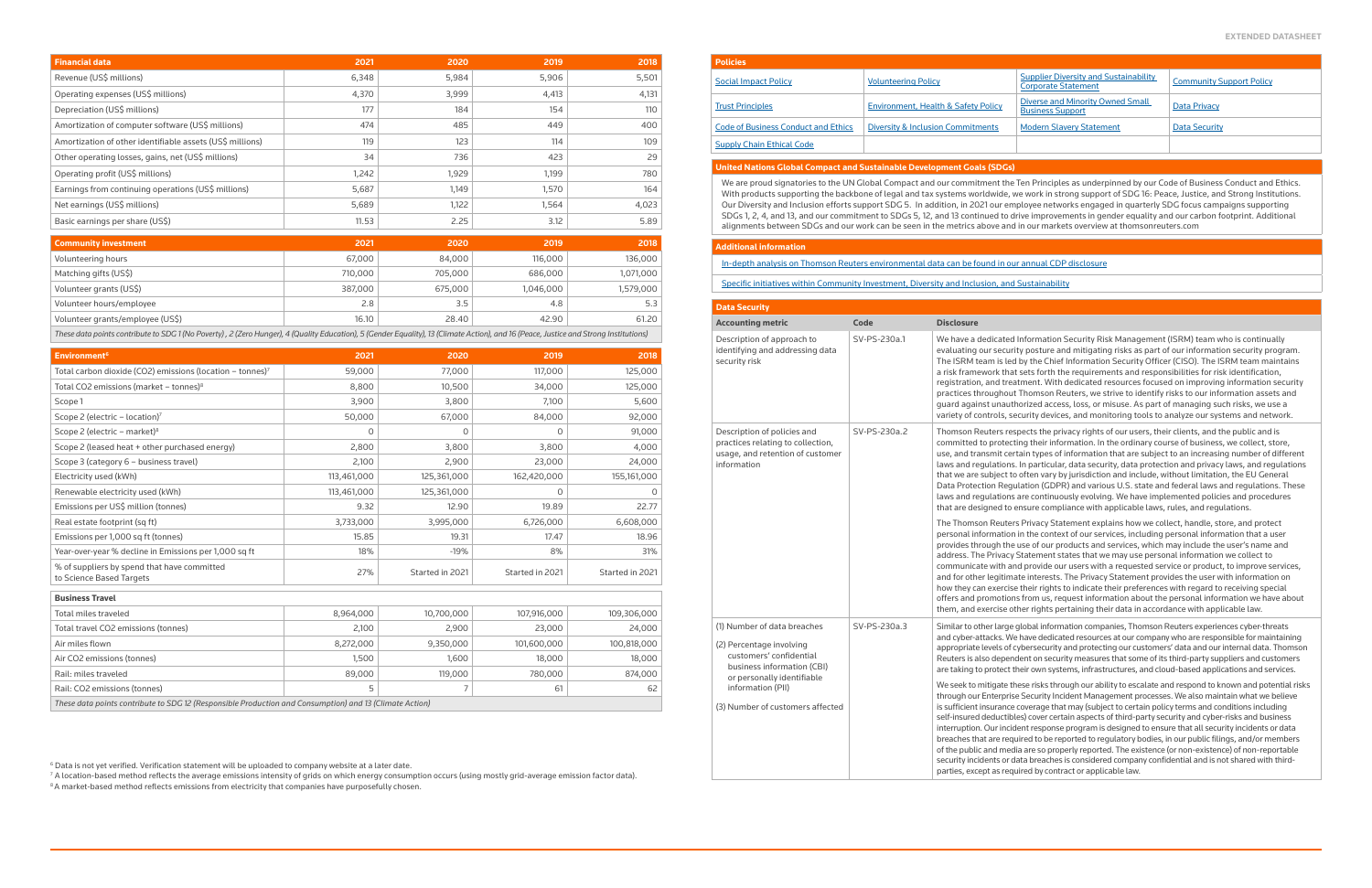ed Information Security Risk Management (ISRM) team who is continually urity posture and mitigating risks as part of our information security program. Led by the Chief Information Security Officer (CISO). The ISRM team maintains hat sets forth the requirements and responsibilities for risk identification, reatment. With dedicated resources focused on improving information security out Thomson Reuters, we strive to identify risks to our information assets and uthorized access, loss, or misuse. As part of managing such risks, we use a , security devices, and monitoring tools to analyze our systems and network.

espects the privacy rights of our users, their clients, and the public and is ecting their information. In the ordinary course of business, we collect, store, certain types of information that are subject to an increasing number of different Ins. In particular, data security, data protection and privacy laws, and regulations t to often vary by jurisdiction and include, without limitation, the EU General egulation (GDPR) and various U.S. state and federal laws and regulations. These ins are continuously evolving. We have implemented policies and procedures to ensure compliance with applicable laws, rules, and regulations.

ters Privacy Statement explains how we collect, handle, store, and protect ion in the context of our services, including personal information that a user he use of our products and services, which may include the user's name and cy Statement states that we may use personal information we collect to and provide our users with a requested service or product, to improve services, mate interests. The Privacy Statement provides the user with information on tise their rights to indicate their preferences with regard to receiving special ions from us, request information about the personal information we have about them, and their data in accordance with applicable law.

ge global information companies, Thomson Reuters experiences cyber-threats We have dedicated resources at our company who are responsible for maintaining of cybersecurity and protecting our customers' data and our internal data. Thomson endent on security measures that some of its third-party suppliers and customers ct their own systems, infrastructures, and cloud-based applications and services.

these risks through our ability to escalate and respond to known and potential risks rise Security Incident Management processes. We also maintain what we believe ce coverage that may (subject to certain policy terms and conditions including tibles) cover certain aspects of third-party security and cyber-risks and business cident response program is designed to ensure that all security incidents or data equired to be reported to regulatory bodies, in our public filings, and/or members edia are so properly reported. The existence (or non-existence) of non-reportable data breaches is considered company confidential and is not shared with thirdequired by contract or applicable law.

## **United Nations Global Compact and Sustainable Development Goals (SDGs)**

We are proud signatories to the UN Global Compact and our commitment the Ten Principles as underpinned by our Code of Business Conduct and Ethics. With products supporting the backbone of legal and tax systems worldwide, we work in strong support of SDG 16: Peace, Justice, and Strong Institutions. Our Diversity and Inclusion efforts support SDG 5. In addition, in 2021 our employee networks engaged in quarterly SDG focus campaigns supporting SDGs 1, 2, 4, and 13, and our commitment to SDGs 5, 12, and 13 continued to drive improvements in gender equality and our carbon footprint. Additional alignments between SDGs and our work can be seen in the metrics above and in our markets overview at thomsonreuters.com

### **Additional information**

[In-depth analysis on Thomson Reuters environmental data can be found in our annual CDP disclosure](http://www.cdp.net/)

[Specific initiatives within Community Investment, Diversity and Inclusion, and Sustainability](https://www.thomsonreuters.com/en/about-us/social-impact/social-impact-and-esg-report-2021.html)

| <b>Policies</b>                            |                                              |                                                                            |                                 |
|--------------------------------------------|----------------------------------------------|----------------------------------------------------------------------------|---------------------------------|
| <b>Social Impact Policy</b>                | <b>Volunteering Policy</b>                   | <b>Supplier Diversity and Sustainability</b><br><b>Corporate Statement</b> | <b>Community Support Policy</b> |
| <b>Trust Principles</b>                    | Environment, Health & Safety Policy          | <b>Diverse and Minority Owned Small</b><br><b>Business Support</b>         | Data Privacy                    |
| <b>Code of Business Conduct and Ethics</b> | <b>Diversity &amp; Inclusion Commitments</b> | <b>Modern Slavery Statement</b>                                            | Data Security                   |
| <b>Supply Chain Ethical Code</b>           |                                              |                                                                            |                                 |

| <b>Financial data</b>                                     | 2021                                                                                                                                                                                  | 2020    | 2019      | 2018      |
|-----------------------------------------------------------|---------------------------------------------------------------------------------------------------------------------------------------------------------------------------------------|---------|-----------|-----------|
| Revenue (US\$ millions)                                   | 6,348                                                                                                                                                                                 | 5,984   | 5,906     | 5,501     |
| Operating expenses (US\$ millions)                        | 4,370                                                                                                                                                                                 | 3,999   | 4,413     | 4,131     |
| Depreciation (US\$ millions)                              | 177                                                                                                                                                                                   | 184     | 154       | 110       |
| Amortization of computer software (US\$ millions)         | 474                                                                                                                                                                                   | 485     | 449       | 400       |
| Amortization of other identifiable assets (US\$ millions) | 119                                                                                                                                                                                   | 123     | 114       | 109       |
| Other operating losses, gains, net (US\$ millions)        | 34                                                                                                                                                                                    | 736     | 423       | 29        |
| Operating profit (US\$ millions)                          | 1,242                                                                                                                                                                                 | 1,929   | 1,199     | 780       |
| Earnings from continuing operations (US\$ millions)       | 5,687                                                                                                                                                                                 | 1,149   | 1,570     | 164       |
| Net earnings (US\$ millions)                              | 5,689                                                                                                                                                                                 | 1,122   | 1,564     | 4,023     |
| Basic earnings per share (US\$)                           | 11.53                                                                                                                                                                                 | 2.25    | 3.12      | 5.89      |
| <b>Community investment</b>                               | 2021                                                                                                                                                                                  | 2020    | 2019      | 2018      |
| Volunteering hours                                        | 67,000                                                                                                                                                                                | 84,000  | 116,000   | 136,000   |
| Matching gifts (US\$)                                     | 710,000                                                                                                                                                                               | 705,000 | 686,000   | 1,071,000 |
| Volunteer grants (US\$)                                   | 387,000                                                                                                                                                                               | 675,000 | 1,046,000 | 1,579,000 |
| Volunteer hours/employee                                  | 2.8                                                                                                                                                                                   | 3.5     | 4.8       | 5.3       |
| Volunteer grants/employee (US\$)                          | 16.10                                                                                                                                                                                 | 28.40   | 42.90     | 61.20     |
|                                                           | These data points contribute to SDG 1 (No Poverty), 2 (Zero Hunger), 4 (Quality Education), 5 (Gender Equality), 13 (Climate Action), and 16 (Peace, Justice and Strong Institutions) |         |           |           |

| <b>Environment<sup>6</sup></b>                                                                          | 2021        | 2020            | 2019            | 2018            |
|---------------------------------------------------------------------------------------------------------|-------------|-----------------|-----------------|-----------------|
| Total carbon dioxide (CO2) emissions (location - tonnes) <sup>7</sup>                                   | 59,000      | 77,000          | 117,000         | 125,000         |
| Total CO2 emissions (market - tonnes) <sup>8</sup>                                                      | 8,800       | 10,500          | 34,000          | 125,000         |
| Scope 1                                                                                                 | 3,900       | 3,800           | 7,100           | 5,600           |
| Scope 2 (electric - location) <sup>7</sup>                                                              | 50,000      | 67,000          | 84,000          | 92,000          |
| Scope 2 (electric - market) <sup>8</sup>                                                                | 0           | $\Omega$        | $\Omega$        | 91,000          |
| Scope 2 (leased heat + other purchased energy)                                                          | 2,800       | 3,800           | 3,800           | 4,000           |
| Scope 3 (category 6 - business travel)                                                                  | 2,100       | 2,900           | 23,000          | 24,000          |
| Electricity used (kWh)                                                                                  | 113,461,000 | 125,361,000     | 162,420,000     | 155,161,000     |
| Renewable electricity used (kWh)                                                                        | 113,461,000 | 125,361,000     | 0               | 0               |
| Emissions per US\$ million (tonnes)                                                                     | 9.32        | 12.90           | 19.89           | 22.77           |
| Real estate footprint (sq ft)                                                                           | 3,733,000   | 3,995,000       | 6,726,000       | 6,608,000       |
| Emissions per 1,000 sq ft (tonnes)                                                                      | 15.85       | 19.31           | 17.47           | 18.96           |
| Year-over-year % decline in Emissions per 1,000 sq ft                                                   | 18%         | $-19%$          | 8%              | 31%             |
| % of suppliers by spend that have committed<br>to Science Based Targets                                 | 27%         | Started in 2021 | Started in 2021 | Started in 2021 |
| <b>Business Travel</b>                                                                                  |             |                 |                 |                 |
| Total miles traveled                                                                                    | 8,964,000   | 10,700,000      | 107,916,000     | 109,306,000     |
| Total travel CO2 emissions (tonnes)                                                                     | 2,100       | 2,900           | 23,000          | 24,000          |
| Air miles flown                                                                                         | 8,272,000   | 9,350,000       | 101,600,000     | 100,818,000     |
| Air CO2 emissions (tonnes)                                                                              | 1,500       | 1,600           | 18,000          | 18,000          |
| Rail: miles traveled                                                                                    | 89,000      | 119,000         | 780,000         | 874,000         |
| Rail: CO2 emissions (tonnes)                                                                            | 5           | $\overline{7}$  | 61              | 62              |
| These data points contribute to SDG 12 (Responsible Production and Consumption) and 13 (Climate Action) |             |                 |                 |                 |

| <b>Data Security</b>                                                                                                                           |              |                                                                                                                                                                                                                         |
|------------------------------------------------------------------------------------------------------------------------------------------------|--------------|-------------------------------------------------------------------------------------------------------------------------------------------------------------------------------------------------------------------------|
| <b>Accounting metric</b>                                                                                                                       | Code         | <b>Disclosure</b>                                                                                                                                                                                                       |
| Description of approach to<br>identifying and addressing data<br>security risk                                                                 | SV-PS-230a.1 | We have a dedicate<br>evaluating our secu<br>The ISRM team is le<br>a risk framework th<br>registration, and tr<br>practices througho<br>guard against unau<br>variety of controls,                                     |
| Description of policies and<br>practices relating to collection,<br>usage, and retention of customer<br>information                            | SV-PS-230a.2 | <b>Thomson Reuters r</b><br>committed to prote<br>use, and transmit c<br>laws and regulation<br>that we are subject<br>Data Protection Re<br>laws and regulation<br>that are designed to                                |
|                                                                                                                                                |              | The Thomson Reut<br>personal informatio<br>provides through th<br>address. The Privad<br>communicate with<br>and for other legitir<br>how they can exerci<br>offers and promotio<br>them, and exercise                  |
| (1) Number of data breaches<br>(2) Percentage involving<br>customers' confidential<br>business information (CBI)<br>or personally identifiable | SV-PS-230a.3 | Similar to other larg<br>and cyber-attacks. \<br>appropriate levels o<br>Reuters is also depe<br>are taking to protect                                                                                                  |
| information (PII)<br>(3) Number of customers affected                                                                                          |              | We seek to mitigate<br>through our Enterpr<br>is sufficient insurano<br>self-insured deducti<br>interruption. Our ind<br>breaches that are re<br>of the public and me<br>security incidents or<br>parties, except as re |

 $^{\rm 6}$  Data is not yet verified. Verification statement will be uploaded to company website at a later date.

<sup>7</sup> A location-based method reflects the average emissions intensity of grids on which energy consumption occurs (using mostly grid-average emission factor data).

 $8A$  market-based method reflects emissions from electricity that companies have purposefully chosen.